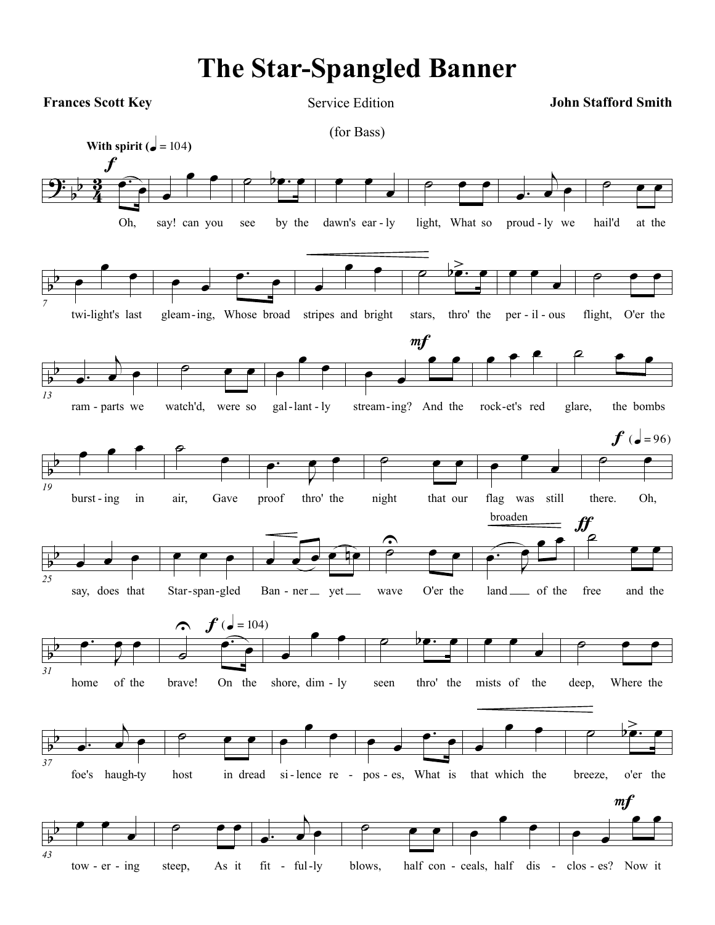## **The Star-Spangled Banner**